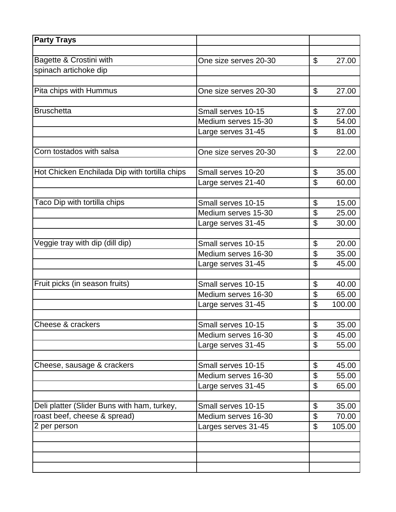| <b>Party Trays</b>                            |                       |                           |        |
|-----------------------------------------------|-----------------------|---------------------------|--------|
|                                               |                       |                           |        |
| Bagette & Crostini with                       | One size serves 20-30 | \$                        | 27.00  |
| spinach artichoke dip                         |                       |                           |        |
|                                               |                       |                           |        |
| Pita chips with Hummus                        | One size serves 20-30 | \$                        | 27.00  |
|                                               |                       |                           |        |
| <b>Bruschetta</b>                             | Small serves 10-15    | \$                        | 27.00  |
|                                               | Medium serves 15-30   | \$                        | 54.00  |
|                                               | Large serves 31-45    | \$                        | 81.00  |
| Corn tostados with salsa                      |                       | \$                        |        |
|                                               | One size serves 20-30 |                           | 22.00  |
| Hot Chicken Enchilada Dip with tortilla chips | Small serves 10-20    | \$                        | 35.00  |
|                                               | Large serves 21-40    | \$                        | 60.00  |
|                                               |                       |                           |        |
| Taco Dip with tortilla chips                  | Small serves 10-15    | \$                        | 15.00  |
|                                               | Medium serves 15-30   | \$                        | 25.00  |
|                                               | Large serves 31-45    | \$                        | 30.00  |
|                                               |                       |                           |        |
| Veggie tray with dip (dill dip)               | Small serves 10-15    | \$                        | 20.00  |
|                                               | Medium serves 16-30   | \$                        | 35.00  |
|                                               | Large serves 31-45    | \$                        | 45.00  |
|                                               |                       |                           |        |
| Fruit picks (in season fruits)                | Small serves 10-15    | \$                        | 40.00  |
|                                               | Medium serves 16-30   | \$                        | 65.00  |
|                                               | Large serves 31-45    | \$                        | 100.00 |
|                                               |                       |                           |        |
| Cheese & crackers                             | Small serves 10-15    | $\boldsymbol{\theta}$     | 35.00  |
|                                               | Medium serves 16-30   | \$                        | 45.00  |
|                                               | Large serves 31-45    | $\boldsymbol{\mathsf{S}}$ | 55.00  |
|                                               |                       |                           |        |
| Cheese, sausage & crackers                    | Small serves 10-15    | $\boldsymbol{\theta}$     | 45.00  |
|                                               | Medium serves 16-30   | \$                        | 55.00  |
|                                               | Large serves 31-45    | \$                        | 65.00  |
|                                               |                       |                           |        |
| Deli platter (Slider Buns with ham, turkey,   | Small serves 10-15    | \$                        | 35.00  |
| roast beef, cheese & spread)                  | Medium serves 16-30   | $\boldsymbol{\theta}$     | 70.00  |
| 2 per person                                  | Larges serves 31-45   | \$                        | 105.00 |
|                                               |                       |                           |        |
|                                               |                       |                           |        |
|                                               |                       |                           |        |
|                                               |                       |                           |        |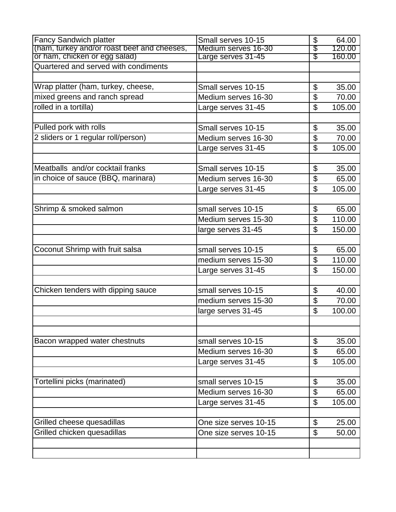| <b>Fancy Sandwich platter</b>               | Small serves 10-15    | \$                        | 64.00  |
|---------------------------------------------|-----------------------|---------------------------|--------|
| (ham, turkey and/or roast beef and cheeses, | Medium serves 16-30   | \$                        | 120.00 |
| or ham, chicken or egg salad)               | Large serves 31-45    | \$                        | 160.00 |
| Quartered and served with condiments        |                       |                           |        |
|                                             |                       |                           |        |
| Wrap platter (ham, turkey, cheese,          | Small serves 10-15    | \$                        | 35.00  |
| mixed greens and ranch spread               | Medium serves 16-30   | \$                        | 70.00  |
| rolled in a tortilla)                       | Large serves 31-45    | $\mathfrak{L}$            | 105.00 |
|                                             |                       |                           |        |
| Pulled pork with rolls                      | Small serves 10-15    | \$                        | 35.00  |
| 2 sliders or 1 regular roll/person)         | Medium serves 16-30   | \$                        | 70.00  |
|                                             | Large serves 31-45    | \$                        | 105.00 |
|                                             |                       |                           |        |
| Meatballs and/or cocktail franks            | Small serves 10-15    | \$                        | 35.00  |
| in choice of sauce (BBQ, marinara)          | Medium serves 16-30   | \$                        | 65.00  |
|                                             | Large serves 31-45    | \$                        | 105.00 |
|                                             |                       |                           |        |
| Shrimp & smoked salmon                      | small serves 10-15    | \$                        | 65.00  |
|                                             | Medium serves 15-30   | \$                        | 110.00 |
|                                             | large serves 31-45    | $\overline{\mathfrak{s}}$ | 150.00 |
|                                             |                       |                           |        |
| Coconut Shrimp with fruit salsa             | small serves 10-15    | \$                        | 65.00  |
|                                             | medium serves 15-30   | \$                        | 110.00 |
|                                             | Large serves 31-45    | $\mathfrak{L}$            | 150.00 |
|                                             |                       |                           |        |
| Chicken tenders with dipping sauce          | small serves 10-15    | $\boldsymbol{\theta}$     | 40.00  |
|                                             | medium serves 15-30   | \$                        | 70.00  |
|                                             | large serves 31-45    | \$                        | 100.00 |
|                                             |                       |                           |        |
|                                             |                       |                           |        |
| Bacon wrapped water chestnuts               | small serves 10-15    | \$                        | 35.00  |
|                                             | Medium serves 16-30   | \$                        | 65.00  |
|                                             | Large serves 31-45    | $\boldsymbol{\mathsf{S}}$ | 105.00 |
|                                             |                       |                           |        |
| Tortellini picks (marinated)                | small serves 10-15    | \$                        | 35.00  |
|                                             | Medium serves 16-30   | \$                        | 65.00  |
|                                             | Large serves 31-45    | $\boldsymbol{\mathsf{S}}$ | 105.00 |
|                                             |                       |                           |        |
| Grilled cheese quesadillas                  | One size serves 10-15 | \$                        | 25.00  |
| Grilled chicken quesadillas                 | One size serves 10-15 | \$                        | 50.00  |
|                                             |                       |                           |        |
|                                             |                       |                           |        |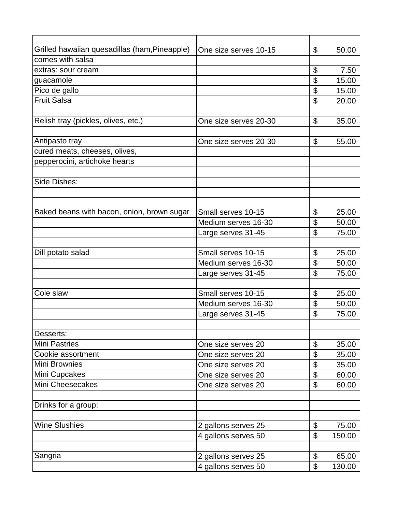| Grilled hawaiian quesadillas (ham, Pineapple)<br>\$<br>50.00<br>One size serves 10-15<br>comes with salsa<br>\$<br>extras: sour cream<br>\$<br>15.00<br>guacamole | 7.50 |
|-------------------------------------------------------------------------------------------------------------------------------------------------------------------|------|
|                                                                                                                                                                   |      |
|                                                                                                                                                                   |      |
|                                                                                                                                                                   |      |
|                                                                                                                                                                   |      |
| Pico de gallo<br>\$<br>15.00                                                                                                                                      |      |
| <b>Fruit Salsa</b><br>\$<br>20.00                                                                                                                                 |      |
|                                                                                                                                                                   |      |
| Relish tray (pickles, olives, etc.)<br>One size serves 20-30<br>\$<br>35.00                                                                                       |      |
|                                                                                                                                                                   |      |
| \$<br>Antipasto tray<br>55.00<br>One size serves 20-30                                                                                                            |      |
| cured meats, cheeses, olives,                                                                                                                                     |      |
| pepperocini, artichoke hearts                                                                                                                                     |      |
|                                                                                                                                                                   |      |
| Side Dishes:                                                                                                                                                      |      |
|                                                                                                                                                                   |      |
|                                                                                                                                                                   |      |
| Baked beans with bacon, onion, brown sugar<br>Small serves 10-15<br>\$<br>25.00                                                                                   |      |
| \$<br>Medium serves 16-30<br>50.00                                                                                                                                |      |
| \$<br>Large serves 31-45<br>75.00                                                                                                                                 |      |
|                                                                                                                                                                   |      |
| Dill potato salad<br>Small serves 10-15<br>\$<br>25.00                                                                                                            |      |
| \$<br>Medium serves 16-30<br>50.00                                                                                                                                |      |
| \$<br>75.00<br>Large serves 31-45                                                                                                                                 |      |
|                                                                                                                                                                   |      |
| Cole slaw<br>Small serves 10-15<br>\$<br>25.00                                                                                                                    |      |
| \$<br>Medium serves 16-30<br>50.00                                                                                                                                |      |
| \$<br>Large serves 31-45<br>75.00                                                                                                                                 |      |
|                                                                                                                                                                   |      |
| Desserts:                                                                                                                                                         |      |
| <b>Mini Pastries</b><br>\$<br>One size serves 20<br>35.00                                                                                                         |      |
| \$<br>Cookie assortment<br>35.00<br>One size serves 20                                                                                                            |      |
| <b>Mini Brownies</b><br>\$<br>35.00<br>One size serves 20                                                                                                         |      |
| Mini Cupcakes<br>\$<br>One size serves 20<br>60.00                                                                                                                |      |
| Mini Cheesecakes<br>\$<br>60.00<br>One size serves 20                                                                                                             |      |
|                                                                                                                                                                   |      |
| Drinks for a group:                                                                                                                                               |      |
|                                                                                                                                                                   |      |
| <b>Wine Slushies</b><br>\$<br>2 gallons serves 25<br>75.00                                                                                                        |      |
| $\boldsymbol{\theta}$<br>4 gallons serves 50<br>150.00                                                                                                            |      |
|                                                                                                                                                                   |      |
| \$<br>Sangria<br>2 gallons serves 25<br>65.00                                                                                                                     |      |
| \$<br>4 gallons serves 50<br>130.00                                                                                                                               |      |